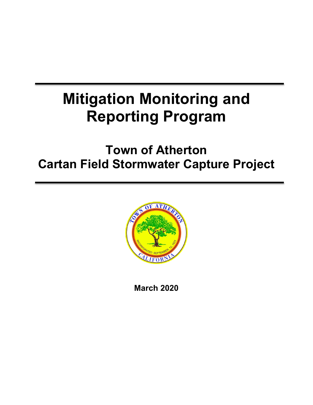## **Mitigation Monitoring and Reporting Program**

## **Town of Atherton Cartan Field Stormwater Capture Project**



**March 2020**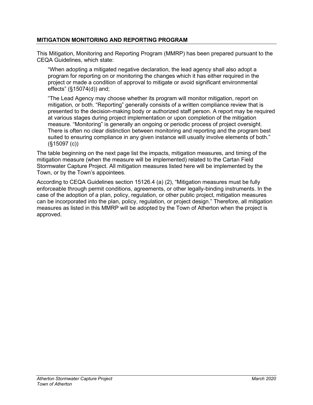## **MITIGATION MONITORING AND REPORTING PROGRAM**

This Mitigation, Monitoring and Reporting Program (MMRP) has been prepared pursuant to the CEQA Guidelines, which state:

"When adopting a mitigated negative declaration, the lead agency shall also adopt a program for reporting on or monitoring the changes which it has either required in the project or made a condition of approval to mitigate or avoid significant environmental effects" (§15074(d)) and;

"The Lead Agency may choose whether its program will monitor mitigation, report on mitigation, or both. "Reporting" generally consists of a written compliance review that is presented to the decision-making body or authorized staff person. A report may be required at various stages during project implementation or upon completion of the mitigation measure. "Monitoring" is generally an ongoing or periodic process of project oversight. There is often no clear distinction between monitoring and reporting and the program best suited to ensuring compliance in any given instance will usually involve elements of both." (§15097 (c))

The table beginning on the next page list the impacts, mitigation measures, and timing of the mitigation measure (when the measure will be implemented) related to the Cartan Field Stormwater Capture Project. All mitigation measures listed here will be implemented by the Town, or by the Town's appointees.

According to CEQA Guidelines section 15126.4 (a) (2), "Mitigation measures must be fully enforceable through permit conditions, agreements, or other legally-binding instruments. In the case of the adoption of a plan, policy, regulation, or other public project, mitigation measures can be incorporated into the plan, policy, regulation, or project design." Therefore, all mitigation measures as listed in this MMRP will be adopted by the Town of Atherton when the project is approved.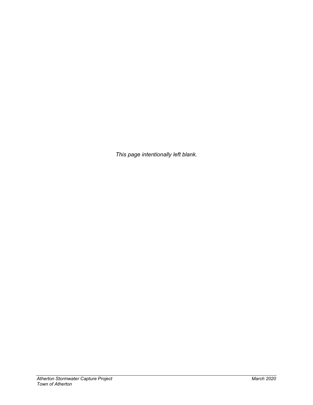*This page intentionally left blank.*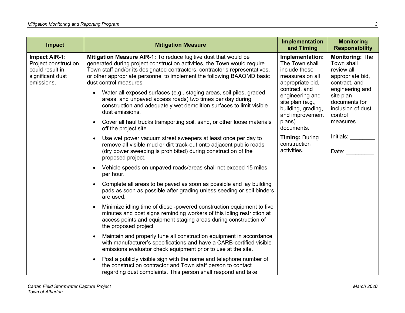| <b>Impact</b>                                                                              | <b>Mitigation Measure</b>                                                                                                                                                                                                                                                                                                      | Implementation<br>and Timing                                                                  | <b>Monitoring</b><br><b>Responsibility</b>                                                                                         |
|--------------------------------------------------------------------------------------------|--------------------------------------------------------------------------------------------------------------------------------------------------------------------------------------------------------------------------------------------------------------------------------------------------------------------------------|-----------------------------------------------------------------------------------------------|------------------------------------------------------------------------------------------------------------------------------------|
| Impact AIR-1:<br>Project construction<br>could result in<br>significant dust<br>emissions. | Mitigation Measure AIR-1: To reduce fugitive dust that would be<br>generated during project construction activities, the Town would require<br>Town staff and/or its designated contractors, contractor's representatives,<br>or other appropriate personnel to implement the following BAAQMD basic<br>dust control measures. | Implementation:<br>The Town shall<br>include these<br>measures on all<br>appropriate bid,     | <b>Monitoring: The</b><br>Town shall<br>review all<br>appropriate bid,<br>contract, and                                            |
|                                                                                            | Water all exposed surfaces (e.g., staging areas, soil piles, graded<br>areas, and unpaved access roads) two times per day during<br>construction and adequately wet demolition surfaces to limit visible<br>dust emissions.                                                                                                    | contract, and<br>engineering and<br>site plan (e.g.,<br>building, grading,<br>and improvement | engineering and<br>site plan<br>documents for<br>inclusion of dust<br>control                                                      |
|                                                                                            | Cover all haul trucks transporting soil, sand, or other loose materials<br>off the project site.                                                                                                                                                                                                                               | plans)<br>documents.                                                                          | measures.                                                                                                                          |
|                                                                                            | Use wet power vacuum street sweepers at least once per day to<br>$\bullet$<br>remove all visible mud or dirt track-out onto adjacent public roads<br>(dry power sweeping is prohibited) during construction of the<br>proposed project.                                                                                        | <b>Timing: During</b><br>construction<br>activities.                                          | $Initials: \_\_$<br>Date: and the state of the state of the state of the state of the state of the state of the state of the state |
|                                                                                            | Vehicle speeds on unpaved roads/areas shall not exceed 15 miles<br>per hour.                                                                                                                                                                                                                                                   |                                                                                               |                                                                                                                                    |
|                                                                                            | Complete all areas to be paved as soon as possible and lay building<br>pads as soon as possible after grading unless seeding or soil binders<br>are used.                                                                                                                                                                      |                                                                                               |                                                                                                                                    |
|                                                                                            | Minimize idling time of diesel-powered construction equipment to five<br>minutes and post signs reminding workers of this idling restriction at<br>access points and equipment staging areas during construction of<br>the proposed project                                                                                    |                                                                                               |                                                                                                                                    |
|                                                                                            | Maintain and properly tune all construction equipment in accordance<br>with manufacturer's specifications and have a CARB-certified visible<br>emissions evaluator check equipment prior to use at the site.                                                                                                                   |                                                                                               |                                                                                                                                    |
|                                                                                            | Post a publicly visible sign with the name and telephone number of<br>the construction contractor and Town staff person to contact<br>regarding dust complaints. This person shall respond and take                                                                                                                            |                                                                                               |                                                                                                                                    |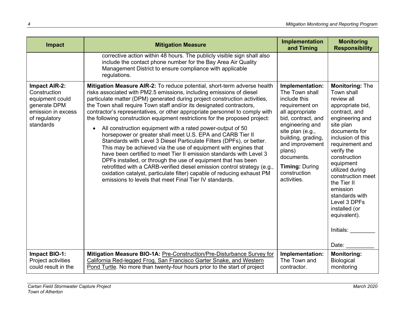| Impact                                                                                                                      | <b>Mitigation Measure</b>                                                                                                                                                                                                                                                                                                                                                                                                                                                                                                                                                                                                                                                                                                                                                                                                                                                                                                                                                                                                                                                                                        | Implementation<br>and Timing                                                                                                                                                                                                                                                 | <b>Monitoring</b><br><b>Responsibility</b>                                                                                                                                                                                                                                                                                                                                              |
|-----------------------------------------------------------------------------------------------------------------------------|------------------------------------------------------------------------------------------------------------------------------------------------------------------------------------------------------------------------------------------------------------------------------------------------------------------------------------------------------------------------------------------------------------------------------------------------------------------------------------------------------------------------------------------------------------------------------------------------------------------------------------------------------------------------------------------------------------------------------------------------------------------------------------------------------------------------------------------------------------------------------------------------------------------------------------------------------------------------------------------------------------------------------------------------------------------------------------------------------------------|------------------------------------------------------------------------------------------------------------------------------------------------------------------------------------------------------------------------------------------------------------------------------|-----------------------------------------------------------------------------------------------------------------------------------------------------------------------------------------------------------------------------------------------------------------------------------------------------------------------------------------------------------------------------------------|
|                                                                                                                             | corrective action within 48 hours. The publicly visible sign shall also<br>include the contact phone number for the Bay Area Air Quality<br>Management District to ensure compliance with applicable<br>regulations.                                                                                                                                                                                                                                                                                                                                                                                                                                                                                                                                                                                                                                                                                                                                                                                                                                                                                             |                                                                                                                                                                                                                                                                              |                                                                                                                                                                                                                                                                                                                                                                                         |
| <b>Impact AIR-2:</b><br>Construction<br>equipment could<br>generate DPM<br>emission in excess<br>of regulatory<br>standards | Mitigation Measure AIR-2: To reduce potential, short-term adverse health<br>risks associated with PM2.5 emissions, including emissions of diesel<br>particulate matter (DPM) generated during project construction activities,<br>the Town shall require Town staff and/or its designated contractors,<br>contractor's representatives, or other appropriate personnel to comply with<br>the following construction equipment restrictions for the proposed project:<br>All construction equipment with a rated power-output of 50<br>$\bullet$<br>horsepower or greater shall meet U.S. EPA and CARB Tier II<br>Standards with Level 3 Diesel Particulate Filters (DPFs), or better.<br>This may be achieved via the use of equipment with engines that<br>have been certified to meet Tier II emission standards with Level 3<br>DPFs installed, or through the use of equipment that has been<br>retrofitted with a CARB-verified diesel emission control strategy (e.g.,<br>oxidation catalyst, particulate filter) capable of reducing exhaust PM<br>emissions to levels that meet Final Tier IV standards. | Implementation:<br>The Town shall<br>include this<br>requirement on<br>all appropriate<br>bid, contract, and<br>engineering and<br>site plan (e.g.,<br>building, grading,<br>and improvement<br>plans)<br>documents.<br><b>Timing: During</b><br>construction<br>activities. | <b>Monitoring: The</b><br>Town shall<br>review all<br>appropriate bid,<br>contract, and<br>engineering and<br>site plan<br>documents for<br>inclusion of this<br>requirement and<br>verify the<br>construction<br>equipment<br>utilized during<br>construction meet<br>the Tier II<br>emission<br>standards with<br>Level 3 DPFs<br>installed (or<br>equivalent).<br>Initials:<br>Date: |
| Impact BIO-1:<br>Project activities<br>could result in the                                                                  | Mitigation Measure BIO-1A: Pre-Construction/Pre-Disturbance Survey for<br>California Red-legged Frog, San Francisco Garter Snake, and Western<br>Pond Turtle. No more than twenty-four hours prior to the start of project                                                                                                                                                                                                                                                                                                                                                                                                                                                                                                                                                                                                                                                                                                                                                                                                                                                                                       | Implementation:<br>The Town and<br>contractor.                                                                                                                                                                                                                               | <b>Monitoring:</b><br><b>Biological</b><br>monitoring                                                                                                                                                                                                                                                                                                                                   |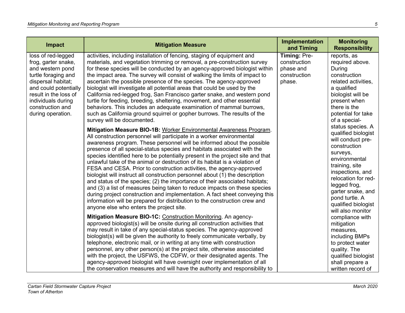| <b>Impact</b>                                                                                                                                                                                                               | <b>Mitigation Measure</b>                                                                                                                                                                                                                                                                                                                                                                                                                                                                                                                                                                                                                                                                                                                                                                                                                                                                                                                                                                      | <b>Implementation</b><br>and Timing                                 | <b>Monitoring</b><br><b>Responsibility</b>                                                                                                                                                                                                                                 |
|-----------------------------------------------------------------------------------------------------------------------------------------------------------------------------------------------------------------------------|------------------------------------------------------------------------------------------------------------------------------------------------------------------------------------------------------------------------------------------------------------------------------------------------------------------------------------------------------------------------------------------------------------------------------------------------------------------------------------------------------------------------------------------------------------------------------------------------------------------------------------------------------------------------------------------------------------------------------------------------------------------------------------------------------------------------------------------------------------------------------------------------------------------------------------------------------------------------------------------------|---------------------------------------------------------------------|----------------------------------------------------------------------------------------------------------------------------------------------------------------------------------------------------------------------------------------------------------------------------|
| loss of red-legged<br>frog, garter snake,<br>and western pond<br>turtle foraging and<br>dispersal habitat;<br>and could potentially<br>result in the loss of<br>individuals during<br>construction and<br>during operation. | activities, including installation of fencing, staging of equipment and<br>materials, and vegetation trimming or removal, a pre-construction survey<br>for these species will be conducted by an agency-approved biologist within<br>the impact area. The survey will consist of walking the limits of impact to<br>ascertain the possible presence of the species. The agency-approved<br>biologist will investigate all potential areas that could be used by the<br>California red-legged frog, San Francisco garter snake, and western pond<br>turtle for feeding, breeding, sheltering, movement, and other essential<br>behaviors. This includes an adequate examination of mammal burrows,<br>such as California ground squirrel or gopher burrows. The results of the<br>survey will be documented.                                                                                                                                                                                    | Timing: Pre-<br>construction<br>phase and<br>construction<br>phase. | reports, as<br>required above.<br>During<br>construction<br>related activities,<br>a qualified<br>biologist will be<br>present when<br>there is the<br>potential for take<br>of a special-                                                                                 |
|                                                                                                                                                                                                                             | Mitigation Measure BIO-1B: Worker Environmental Awareness Program.<br>All construction personnel will participate in a worker environmental<br>awareness program. These personnel will be informed about the possible<br>presence of all special-status species and habitats associated with the<br>species identified here to be potentially present in the project site and that<br>unlawful take of the animal or destruction of its habitat is a violation of<br>FESA and CESA. Prior to construction activities, the agency-approved<br>biologist will instruct all construction personnel about (1) the description<br>and status of the species; (2) the importance of their associated habitats;<br>and (3) a list of measures being taken to reduce impacts on these species<br>during project construction and implementation. A fact sheet conveying this<br>information will be prepared for distribution to the construction crew and<br>anyone else who enters the project site. |                                                                     | status species. A<br>qualified biologist<br>will conduct pre-<br>construction<br>surveys,<br>environmental<br>training, site<br>inspections, and<br>relocation for red-<br>legged frog,<br>garter snake, and<br>pond turtle. A<br>qualified biologist<br>will also monitor |
|                                                                                                                                                                                                                             | Mitigation Measure BIO-1C: Construction Monitoring. An agency-<br>approved biologist(s) will be onsite during all construction activities that<br>may result in take of any special-status species. The agency-approved<br>biologist(s) will be given the authority to freely communicate verbally, by<br>telephone, electronic mail, or in writing at any time with construction<br>personnel, any other person(s) at the project site, otherwise associated<br>with the project, the USFWS, the CDFW, or their designated agents. The<br>agency-approved biologist will have oversight over implementation of all<br>the conservation measures and will have the authority and responsibility to                                                                                                                                                                                                                                                                                             |                                                                     | compliance with<br>mitigation<br>measures,<br>including BMPs<br>to protect water<br>quality. The<br>qualified biologist<br>shall prepare a<br>written record of                                                                                                            |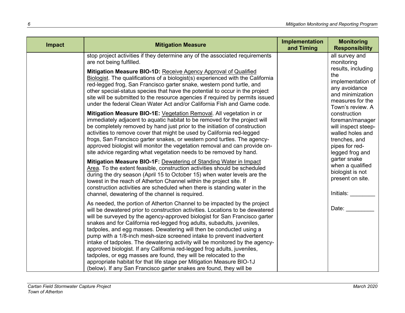| Impact | <b>Mitigation Measure</b>                                                                                                                                                                                                                                                                                                                                                                                                                                                                                                                                                                                                                                                                                                                                                                                                                          | Implementation<br>and Timing | <b>Monitoring</b><br><b>Responsibility</b>                                                                                       |
|--------|----------------------------------------------------------------------------------------------------------------------------------------------------------------------------------------------------------------------------------------------------------------------------------------------------------------------------------------------------------------------------------------------------------------------------------------------------------------------------------------------------------------------------------------------------------------------------------------------------------------------------------------------------------------------------------------------------------------------------------------------------------------------------------------------------------------------------------------------------|------------------------------|----------------------------------------------------------------------------------------------------------------------------------|
|        | stop project activities if they determine any of the associated requirements<br>are not being fulfilled.                                                                                                                                                                                                                                                                                                                                                                                                                                                                                                                                                                                                                                                                                                                                           |                              | all survey and<br>monitoring<br>results, including                                                                               |
|        | Mitigation Measure BIO-1D: Receive Agency Approval of Qualified<br>Biologist. The qualifications of a biologist(s) experienced with the California<br>red-legged frog, San Francisco garter snake, western pond turtle, and<br>other special-status species that have the potential to occur in the project<br>site will be submitted to the resource agencies if required by permits issued<br>under the federal Clean Water Act and/or California Fish and Game code.                                                                                                                                                                                                                                                                                                                                                                            |                              | the<br>implementation of<br>any avoidance<br>and minimization<br>measures for the<br>Town's review. A                            |
|        | Mitigation Measure BIO-1E: Vegetation Removal. All vegetation in or<br>immediately adjacent to aquatic habitat to be removed for the project will<br>be completely removed by hand just prior to the initiation of construction<br>activities to remove cover that might be used by California red-legged<br>frogs, San Francisco garter snakes, or western pond turtles. The agency-<br>approved biologist will monitor the vegetation removal and can provide on-<br>site advice regarding what vegetation needs to be removed by hand.                                                                                                                                                                                                                                                                                                          |                              | construction<br>foreman/manager<br>will inspect steep-<br>walled holes and<br>trenches, and<br>pipes for red-<br>legged frog and |
|        | Mitigation Measure BIO-1F: Dewatering of Standing Water in Impact<br>Area. To the extent feasible, construction activities should be scheduled<br>during the dry season (April 15 to October 15) when water levels are the<br>lowest in the reach of Atherton Channel within the project site. If<br>construction activities are scheduled when there is standing water in the<br>channel, dewatering of the channel is required.                                                                                                                                                                                                                                                                                                                                                                                                                  |                              | garter snake<br>when a qualified<br>biologist is not<br>present on site.<br>Initials:                                            |
|        | As needed, the portion of Atherton Channel to be impacted by the project<br>will be dewatered prior to construction activities. Locations to be dewatered<br>will be surveyed by the agency-approved biologist for San Francisco garter<br>snakes and for California red-legged frog adults, subadults, juveniles,<br>tadpoles, and egg masses. Dewatering will then be conducted using a<br>pump with a 1/8-inch mesh-size screened intake to prevent inadvertent<br>intake of tadpoles. The dewatering activity will be monitored by the agency-<br>approved biologist. If any California red-legged frog adults, juveniles,<br>tadpoles, or egg masses are found, they will be relocated to the<br>appropriate habitat for that life stage per Mitigation Measure BIO-1J<br>(below). If any San Francisco garter snakes are found, they will be |                              | Date: ______                                                                                                                     |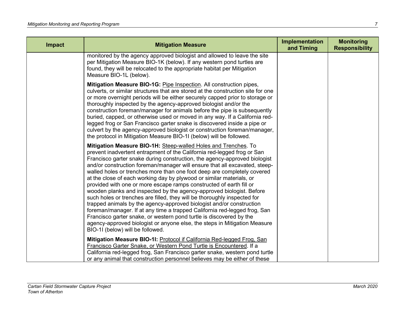| <b>Impact</b> | <b>Mitigation Measure</b>                                                                                                                                                                                                                                                                                                                                                                                                                                                                                                                                                                                                                                                                                                                                                                                                                                                                                                                                                                                                       | Implementation<br>and Timing | <b>Monitoring</b><br><b>Responsibility</b> |
|---------------|---------------------------------------------------------------------------------------------------------------------------------------------------------------------------------------------------------------------------------------------------------------------------------------------------------------------------------------------------------------------------------------------------------------------------------------------------------------------------------------------------------------------------------------------------------------------------------------------------------------------------------------------------------------------------------------------------------------------------------------------------------------------------------------------------------------------------------------------------------------------------------------------------------------------------------------------------------------------------------------------------------------------------------|------------------------------|--------------------------------------------|
|               | monitored by the agency approved biologist and allowed to leave the site<br>per Mitigation Measure BIO-1K (below). If any western pond turtles are<br>found, they will be relocated to the appropriate habitat per Mitigation<br>Measure BIO-1L (below).                                                                                                                                                                                                                                                                                                                                                                                                                                                                                                                                                                                                                                                                                                                                                                        |                              |                                            |
|               | Mitigation Measure BIO-1G: Pipe Inspection. All construction pipes,<br>culverts, or similar structures that are stored at the construction site for one<br>or more overnight periods will be either securely capped prior to storage or<br>thoroughly inspected by the agency-approved biologist and/or the<br>construction foreman/manager for animals before the pipe is subsequently<br>buried, capped, or otherwise used or moved in any way. If a California red-<br>legged frog or San Francisco garter snake is discovered inside a pipe or<br>culvert by the agency-approved biologist or construction foreman/manager,<br>the protocol in Mitigation Measure BIO-1I (below) will be followed.                                                                                                                                                                                                                                                                                                                          |                              |                                            |
|               | Mitigation Measure BIO-1H: Steep-walled Holes and Trenches. To<br>prevent inadvertent entrapment of the California red-legged frog or San<br>Francisco garter snake during construction, the agency-approved biologist<br>and/or construction foreman/manager will ensure that all excavated, steep-<br>walled holes or trenches more than one foot deep are completely covered<br>at the close of each working day by plywood or similar materials, or<br>provided with one or more escape ramps constructed of earth fill or<br>wooden planks and inspected by the agency-approved biologist. Before<br>such holes or trenches are filled, they will be thoroughly inspected for<br>trapped animals by the agency-approved biologist and/or construction<br>foreman/manager. If at any time a trapped California red-legged frog, San<br>Francisco garter snake, or western pond turtle is discovered by the<br>agency-approved biologist or anyone else, the steps in Mitigation Measure<br>BIO-1I (below) will be followed. |                              |                                            |
|               | Mitigation Measure BIO-1I: Protocol if California Red-legged Frog, San<br>Francisco Garter Snake, or Western Pond Turtle is Encountered. If a<br>California red-legged frog, San Francisco garter snake, western pond turtle<br>or any animal that construction personnel believes may be either of these                                                                                                                                                                                                                                                                                                                                                                                                                                                                                                                                                                                                                                                                                                                       |                              |                                            |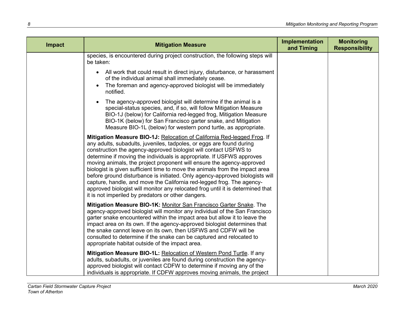| Impact | <b>Mitigation Measure</b>                                                                                                                                                                                                                                                                                                                                                                                                                                                                                                                                                                                                                                                                                                                             | Implementation<br>and Timing | <b>Monitoring</b><br><b>Responsibility</b> |
|--------|-------------------------------------------------------------------------------------------------------------------------------------------------------------------------------------------------------------------------------------------------------------------------------------------------------------------------------------------------------------------------------------------------------------------------------------------------------------------------------------------------------------------------------------------------------------------------------------------------------------------------------------------------------------------------------------------------------------------------------------------------------|------------------------------|--------------------------------------------|
|        | species, is encountered during project construction, the following steps will<br>be taken:                                                                                                                                                                                                                                                                                                                                                                                                                                                                                                                                                                                                                                                            |                              |                                            |
|        | All work that could result in direct injury, disturbance, or harassment<br>$\bullet$<br>of the individual animal shall immediately cease.<br>The foreman and agency-approved biologist will be immediately<br>$\bullet$<br>notified.                                                                                                                                                                                                                                                                                                                                                                                                                                                                                                                  |                              |                                            |
|        | The agency-approved biologist will determine if the animal is a<br>special-status species, and, if so, will follow Mitigation Measure<br>BIO-1J (below) for California red-legged frog, Mitigation Measure<br>BIO-1K (below) for San Francisco garter snake, and Mitigation<br>Measure BIO-1L (below) for western pond turtle, as appropriate.                                                                                                                                                                                                                                                                                                                                                                                                        |                              |                                            |
|        | Mitigation Measure BIO-1J: Relocation of California Red-legged Frog. If<br>any adults, subadults, juveniles, tadpoles, or eggs are found during<br>construction the agency-approved biologist will contact USFWS to<br>determine if moving the individuals is appropriate. If USFWS approves<br>moving animals, the project proponent will ensure the agency-approved<br>biologist is given sufficient time to move the animals from the impact area<br>before ground disturbance is initiated. Only agency-approved biologists will<br>capture, handle, and move the California red-legged frog. The agency-<br>approved biologist will monitor any relocated frog until it is determined that<br>it is not imperiled by predators or other dangers. |                              |                                            |
|        | Mitigation Measure BIO-1K: Monitor San Francisco Garter Snake. The<br>agency-approved biologist will monitor any individual of the San Francisco<br>garter snake encountered within the impact area but allow it to leave the<br>impact area on its own. If the agency-approved biologist determines that<br>the snake cannot leave on its own, then USFWS and CDFW will be<br>consulted to determine if the snake can be captured and relocated to<br>appropriate habitat outside of the impact area.                                                                                                                                                                                                                                                |                              |                                            |
|        | Mitigation Measure BIO-1L: Relocation of Western Pond Turtle. If any<br>adults, subadults, or juveniles are found during construction the agency-<br>approved biologist will contact CDFW to determine if moving any of the<br>individuals is appropriate. If CDFW approves moving animals, the project                                                                                                                                                                                                                                                                                                                                                                                                                                               |                              |                                            |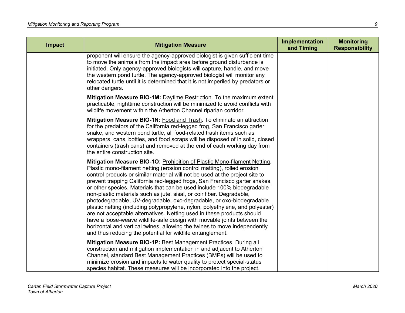| <b>Impact</b> | <b>Mitigation Measure</b>                                                                                                                                                                                                                                                                                                                                                                                                                                                                                                                                                                                                                                                                                                                                                                                                                                                                                                      | Implementation<br>and Timing | <b>Monitoring</b><br><b>Responsibility</b> |
|---------------|--------------------------------------------------------------------------------------------------------------------------------------------------------------------------------------------------------------------------------------------------------------------------------------------------------------------------------------------------------------------------------------------------------------------------------------------------------------------------------------------------------------------------------------------------------------------------------------------------------------------------------------------------------------------------------------------------------------------------------------------------------------------------------------------------------------------------------------------------------------------------------------------------------------------------------|------------------------------|--------------------------------------------|
|               | proponent will ensure the agency-approved biologist is given sufficient time<br>to move the animals from the impact area before ground disturbance is<br>initiated. Only agency-approved biologists will capture, handle, and move<br>the western pond turtle. The agency-approved biologist will monitor any<br>relocated turtle until it is determined that it is not imperiled by predators or<br>other dangers.                                                                                                                                                                                                                                                                                                                                                                                                                                                                                                            |                              |                                            |
|               | Mitigation Measure BIO-1M: Daytime Restriction. To the maximum extent<br>practicable, nighttime construction will be minimized to avoid conflicts with<br>wildlife movement within the Atherton Channel riparian corridor.                                                                                                                                                                                                                                                                                                                                                                                                                                                                                                                                                                                                                                                                                                     |                              |                                            |
|               | Mitigation Measure BIO-1N: Food and Trash. To eliminate an attraction<br>for the predators of the California red-legged frog, San Francisco garter<br>snake, and western pond turtle, all food-related trash items such as<br>wrappers, cans, bottles, and food scraps will be disposed of in solid, closed<br>containers (trash cans) and removed at the end of each working day from<br>the entire construction site.                                                                                                                                                                                                                                                                                                                                                                                                                                                                                                        |                              |                                            |
|               | Mitigation Measure BIO-10: Prohibition of Plastic Mono-filament Netting.<br>Plastic mono-filament netting (erosion control matting), rolled erosion<br>control products or similar material will not be used at the project site to<br>prevent trapping California red-legged frogs, San Francisco garter snakes,<br>or other species. Materials that can be used include 100% biodegradable<br>non-plastic materials such as jute, sisal, or coir fiber. Degradable,<br>photodegradable, UV-degradable, oxo-degradable, or oxo-biodegradable<br>plastic netting (including polypropylene, nylon, polyethylene, and polyester)<br>are not acceptable alternatives. Netting used in these products should<br>have a loose-weave wildlife-safe design with movable joints between the<br>horizontal and vertical twines, allowing the twines to move independently<br>and thus reducing the potential for wildlife entanglement. |                              |                                            |
|               | Mitigation Measure BIO-1P: Best Management Practices. During all<br>construction and mitigation implementation in and adjacent to Atherton<br>Channel, standard Best Management Practices (BMPs) will be used to<br>minimize erosion and impacts to water quality to protect special-status<br>species habitat. These measures will be incorporated into the project.                                                                                                                                                                                                                                                                                                                                                                                                                                                                                                                                                          |                              |                                            |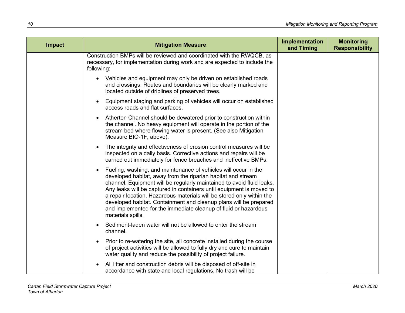| <b>Impact</b> | <b>Mitigation Measure</b>                                                                                                                                                                                                                                                                                                                                                                                                                                                                                              | Implementation<br>and Timing | <b>Monitoring</b><br><b>Responsibility</b> |
|---------------|------------------------------------------------------------------------------------------------------------------------------------------------------------------------------------------------------------------------------------------------------------------------------------------------------------------------------------------------------------------------------------------------------------------------------------------------------------------------------------------------------------------------|------------------------------|--------------------------------------------|
|               | Construction BMPs will be reviewed and coordinated with the RWQCB, as<br>necessary, for implementation during work and are expected to include the<br>following:                                                                                                                                                                                                                                                                                                                                                       |                              |                                            |
|               | Vehicles and equipment may only be driven on established roads<br>and crossings. Routes and boundaries will be clearly marked and<br>located outside of driplines of preserved trees.                                                                                                                                                                                                                                                                                                                                  |                              |                                            |
|               | Equipment staging and parking of vehicles will occur on established<br>$\bullet$<br>access roads and flat surfaces.                                                                                                                                                                                                                                                                                                                                                                                                    |                              |                                            |
|               | Atherton Channel should be dewatered prior to construction within<br>the channel. No heavy equipment will operate in the portion of the<br>stream bed where flowing water is present. (See also Mitigation<br>Measure BIO-1F, above).                                                                                                                                                                                                                                                                                  |                              |                                            |
|               | The integrity and effectiveness of erosion control measures will be<br>inspected on a daily basis. Corrective actions and repairs will be<br>carried out immediately for fence breaches and ineffective BMPs.                                                                                                                                                                                                                                                                                                          |                              |                                            |
|               | Fueling, washing, and maintenance of vehicles will occur in the<br>developed habitat, away from the riparian habitat and stream<br>channel. Equipment will be regularly maintained to avoid fluid leaks.<br>Any leaks will be captured in containers until equipment is moved to<br>a repair location. Hazardous materials will be stored only within the<br>developed habitat. Containment and cleanup plans will be prepared<br>and implemented for the immediate cleanup of fluid or hazardous<br>materials spills. |                              |                                            |
|               | Sediment-laden water will not be allowed to enter the stream<br>channel.                                                                                                                                                                                                                                                                                                                                                                                                                                               |                              |                                            |
|               | Prior to re-watering the site, all concrete installed during the course<br>of project activities will be allowed to fully dry and cure to maintain<br>water quality and reduce the possibility of project failure.                                                                                                                                                                                                                                                                                                     |                              |                                            |
|               | All litter and construction debris will be disposed of off-site in<br>accordance with state and local regulations. No trash will be                                                                                                                                                                                                                                                                                                                                                                                    |                              |                                            |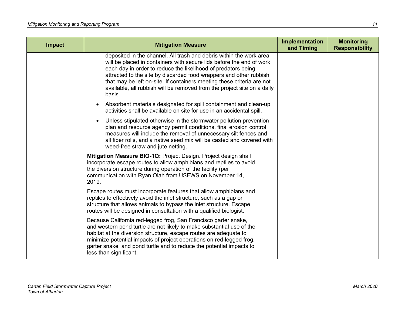| <b>Impact</b> | <b>Mitigation Measure</b>                                                                                                                                                                                                                                                                                                                                                                                                                         | Implementation<br>and Timing | <b>Monitoring</b><br><b>Responsibility</b> |
|---------------|---------------------------------------------------------------------------------------------------------------------------------------------------------------------------------------------------------------------------------------------------------------------------------------------------------------------------------------------------------------------------------------------------------------------------------------------------|------------------------------|--------------------------------------------|
|               | deposited in the channel. All trash and debris within the work area<br>will be placed in containers with secure lids before the end of work<br>each day in order to reduce the likelihood of predators being<br>attracted to the site by discarded food wrappers and other rubbish<br>that may be left on-site. If containers meeting these criteria are not<br>available, all rubbish will be removed from the project site on a daily<br>basis. |                              |                                            |
|               | Absorbent materials designated for spill containment and clean-up<br>activities shall be available on site for use in an accidental spill.                                                                                                                                                                                                                                                                                                        |                              |                                            |
|               | Unless stipulated otherwise in the stormwater pollution prevention<br>plan and resource agency permit conditions, final erosion control<br>measures will include the removal of unnecessary silt fences and<br>all fiber rolls, and a native seed mix will be casted and covered with<br>weed-free straw and jute netting.                                                                                                                        |                              |                                            |
|               | Mitigation Measure BIO-1Q: Project Design. Project design shall<br>incorporate escape routes to allow amphibians and reptiles to avoid<br>the diversion structure during operation of the facility (per<br>communication with Ryan Olah from USFWS on November 14,<br>2019.                                                                                                                                                                       |                              |                                            |
|               | Escape routes must incorporate features that allow amphibians and<br>reptiles to effectively avoid the inlet structure, such as a gap or<br>structure that allows animals to bypass the inlet structure. Escape<br>routes will be designed in consultation with a qualified biologist.                                                                                                                                                            |                              |                                            |
|               | Because California red-legged frog, San Francisco garter snake,<br>and western pond turtle are not likely to make substantial use of the<br>habitat at the diversion structure, escape routes are adequate to<br>minimize potential impacts of project operations on red-legged frog,<br>garter snake, and pond turtle and to reduce the potential impacts to<br>less than significant.                                                           |                              |                                            |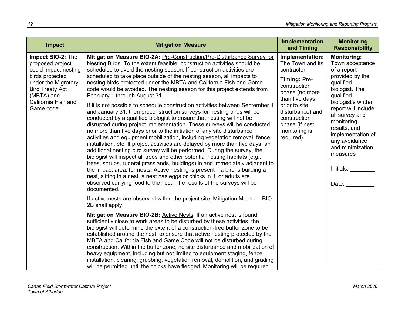| Impact                                                                                                                                                                               | <b>Mitigation Measure</b>                                                                                                                                                                                                                                                                                                                                                                                                                                                                                                                                                                                                                                                                                                                                                                                                                                                                                                                                                                                                                                | Implementation<br>and Timing                                                                                                                                                                                                        | <b>Monitoring</b><br><b>Responsibility</b>                                                                                                                                    |                                                           |
|--------------------------------------------------------------------------------------------------------------------------------------------------------------------------------------|----------------------------------------------------------------------------------------------------------------------------------------------------------------------------------------------------------------------------------------------------------------------------------------------------------------------------------------------------------------------------------------------------------------------------------------------------------------------------------------------------------------------------------------------------------------------------------------------------------------------------------------------------------------------------------------------------------------------------------------------------------------------------------------------------------------------------------------------------------------------------------------------------------------------------------------------------------------------------------------------------------------------------------------------------------|-------------------------------------------------------------------------------------------------------------------------------------------------------------------------------------------------------------------------------------|-------------------------------------------------------------------------------------------------------------------------------------------------------------------------------|-----------------------------------------------------------|
| Impact BIO-2: The<br>proposed project<br>could impact nesting<br>birds protected<br>under the Migratory<br><b>Bird Treaty Act</b><br>(MBTA) and<br>California Fish and<br>Game code. | Mitigation Measure BIO-2A: Pre-Construction/Pre-Disturbance Survey for<br>Nesting Birds. To the extent feasible, construction activities should be<br>scheduled to avoid the nesting season. If construction activities are<br>scheduled to take place outside of the nesting season, all impacts to<br>nesting birds protected under the MBTA and California Fish and Game<br>code would be avoided. The nesting season for this project extends from<br>February 1 through August 31.                                                                                                                                                                                                                                                                                                                                                                                                                                                                                                                                                                  | Implementation:<br>The Town and its<br>contractor.<br><b>Timing: Pre-</b><br>construction<br>phase (no more<br>than five days<br>prior to site<br>disturbance) and<br>construction<br>phase (if nest<br>monitoring is<br>required). | <b>Monitoring:</b><br>of a report<br>qualified<br>biologist. The<br>qualified                                                                                                 | Town acceptance<br>provided by the<br>biologist's written |
|                                                                                                                                                                                      | If it is not possible to schedule construction activities between September 1<br>and January 31, then preconstruction surveys for nesting birds will be<br>conducted by a qualified biologist to ensure that nesting will not be<br>disrupted during project implementation. These surveys will be conducted<br>no more than five days prior to the initiation of any site disturbance<br>activities and equipment mobilization, including vegetation removal, fence<br>installation, etc. If project activities are delayed by more than five days, an<br>additional nesting bird survey will be performed. During the survey, the<br>biologist will inspect all trees and other potential nesting habitats (e.g.,<br>trees, shrubs, ruderal grasslands, buildings) in and immediately adjacent to<br>the impact area, for nests. Active nesting is present if a bird is building a<br>nest, sitting in a nest, a nest has eggs or chicks in it, or adults are<br>observed carrying food to the nest. The results of the surveys will be<br>documented. |                                                                                                                                                                                                                                     | report will include<br>all survey and<br>monitoring<br>results, and<br>implementation of<br>any avoidance<br>and minimization<br>measures<br>Initials:<br>Date: $\frac{1}{2}$ |                                                           |
|                                                                                                                                                                                      | If active nests are observed within the project site, Mitigation Measure BIO-<br>2B shall apply.                                                                                                                                                                                                                                                                                                                                                                                                                                                                                                                                                                                                                                                                                                                                                                                                                                                                                                                                                         |                                                                                                                                                                                                                                     |                                                                                                                                                                               |                                                           |
|                                                                                                                                                                                      | Mitigation Measure BIO-2B: Active Nests. If an active nest is found<br>sufficiently close to work areas to be disturbed by these activities, the<br>biologist will determine the extent of a construction-free buffer zone to be<br>established around the nest, to ensure that active nesting protected by the<br>MBTA and California Fish and Game Code will not be disturbed during<br>construction. Within the buffer zone, no site disturbance and mobilization of<br>heavy equipment, including but not limited to equipment staging, fence<br>installation, clearing, grubbing, vegetation removal, demolition, and grading<br>will be permitted until the chicks have fledged. Monitoring will be required                                                                                                                                                                                                                                                                                                                                       |                                                                                                                                                                                                                                     |                                                                                                                                                                               |                                                           |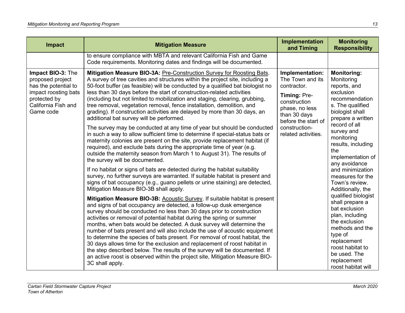| <b>Impact</b>                                                                                                                             | <b>Mitigation Measure</b>                                                                                                                                                                                                                                                                                                                                                                                                                                                                                                                                                                                                                                                                                                                                                                                                                                                                                                                                                                                                                                                                                                                                                                                                                                                                                                                                                                                                                                                                                                                                                                                                                                                                                                                                                                                                                                                                                                                                                                                                                                                                                                               | <b>Implementation</b><br>and Timing                                                                                                                                                        | <b>Monitoring</b><br><b>Responsibility</b>                                                                                                                                                                                                                                                                                                                                                                                                                                                                                                                      |
|-------------------------------------------------------------------------------------------------------------------------------------------|-----------------------------------------------------------------------------------------------------------------------------------------------------------------------------------------------------------------------------------------------------------------------------------------------------------------------------------------------------------------------------------------------------------------------------------------------------------------------------------------------------------------------------------------------------------------------------------------------------------------------------------------------------------------------------------------------------------------------------------------------------------------------------------------------------------------------------------------------------------------------------------------------------------------------------------------------------------------------------------------------------------------------------------------------------------------------------------------------------------------------------------------------------------------------------------------------------------------------------------------------------------------------------------------------------------------------------------------------------------------------------------------------------------------------------------------------------------------------------------------------------------------------------------------------------------------------------------------------------------------------------------------------------------------------------------------------------------------------------------------------------------------------------------------------------------------------------------------------------------------------------------------------------------------------------------------------------------------------------------------------------------------------------------------------------------------------------------------------------------------------------------------|--------------------------------------------------------------------------------------------------------------------------------------------------------------------------------------------|-----------------------------------------------------------------------------------------------------------------------------------------------------------------------------------------------------------------------------------------------------------------------------------------------------------------------------------------------------------------------------------------------------------------------------------------------------------------------------------------------------------------------------------------------------------------|
|                                                                                                                                           | to ensure compliance with MBTA and relevant California Fish and Game<br>Code requirements. Monitoring dates and findings will be documented.                                                                                                                                                                                                                                                                                                                                                                                                                                                                                                                                                                                                                                                                                                                                                                                                                                                                                                                                                                                                                                                                                                                                                                                                                                                                                                                                                                                                                                                                                                                                                                                                                                                                                                                                                                                                                                                                                                                                                                                            |                                                                                                                                                                                            |                                                                                                                                                                                                                                                                                                                                                                                                                                                                                                                                                                 |
| Impact BIO-3: The<br>proposed project<br>has the potential to<br>impact roosting bats<br>protected by<br>California Fish and<br>Game code | Mitigation Measure BIO-3A: Pre-Construction Survey for Roosting Bats.<br>A survey of tree cavities and structures within the project site, including a<br>50-foot buffer (as feasible) will be conducted by a qualified bat biologist no<br>less than 30 days before the start of construction-related activities<br>(including but not limited to mobilization and staging, clearing, grubbing,<br>tree removal, vegetation removal, fence installation, demolition, and<br>grading). If construction activities are delayed by more than 30 days, an<br>additional bat survey will be performed.<br>The survey may be conducted at any time of year but should be conducted<br>in such a way to allow sufficient time to determine if special-status bats or<br>maternity colonies are present on the site, provide replacement habitat (if<br>required), and exclude bats during the appropriate time of year (e.g.<br>outside the maternity season from March 1 to August 31). The results of<br>the survey will be documented.<br>If no habitat or signs of bats are detected during the habitat suitability<br>survey, no further surveys are warranted. If suitable habitat is present and<br>signs of bat occupancy (e.g., guano pellets or urine staining) are detected,<br>Mitigation Measure BIO-3B shall apply.<br>Mitigation Measure BIO-3B: Acoustic Survey. If suitable habitat is present<br>and signs of bat occupancy are detected, a follow-up dusk emergence<br>survey should be conducted no less than 30 days prior to construction<br>activities or removal of potential habitat during the spring or summer<br>months, when bats would be detected. A dusk survey will determine the<br>number of bats present and will also include the use of acoustic equipment<br>to determine the species of bats present. For removal of roost habitat, the<br>30 days allows time for the exclusion and replacement of roost habitat in<br>the step described below. The results of the survey will be documented. If<br>an active roost is observed within the project site, Mitigation Measure BIO-<br>3C shall apply. | Implementation:<br>The Town and its<br>contractor.<br><b>Timing: Pre-</b><br>construction<br>phase, no less<br>than 30 days<br>before the start of<br>construction-<br>related activities. | <b>Monitoring:</b><br>Monitoring<br>reports, and<br>exclusion<br>recommendation<br>s. The qualified<br>biologist shall<br>prepare a written<br>record of all<br>survey and<br>monitoring<br>results, including<br>the<br>implementation of<br>any avoidance<br>and minimization<br>measures for the<br>Town's review.<br>Additionally, the<br>qualified biologist<br>shall prepare a<br>bat exclusion<br>plan, including<br>the exclusion<br>methods and the<br>type of<br>replacement<br>roost habitat to<br>be used. The<br>replacement<br>roost habitat will |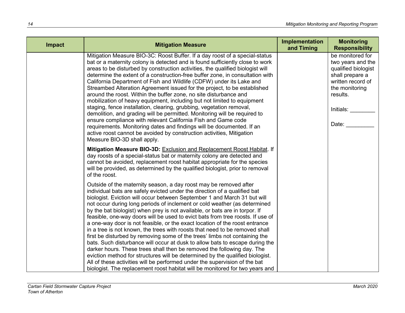| <b>Impact</b> | <b>Mitigation Measure</b>                                                                                                                                                                                                                                                                                                                                                                                                                                                                                                                                                                                                                                                                                                                                                                                                                                                                                                                                                                                                                                                                                                     | Implementation<br>and Timing | <b>Monitoring</b><br><b>Responsibility</b>                                                                                                                      |
|---------------|-------------------------------------------------------------------------------------------------------------------------------------------------------------------------------------------------------------------------------------------------------------------------------------------------------------------------------------------------------------------------------------------------------------------------------------------------------------------------------------------------------------------------------------------------------------------------------------------------------------------------------------------------------------------------------------------------------------------------------------------------------------------------------------------------------------------------------------------------------------------------------------------------------------------------------------------------------------------------------------------------------------------------------------------------------------------------------------------------------------------------------|------------------------------|-----------------------------------------------------------------------------------------------------------------------------------------------------------------|
|               | Mitigation Measure BIO-3C: Roost Buffer. If a day roost of a special-status<br>bat or a maternity colony is detected and is found sufficiently close to work<br>areas to be disturbed by construction activities, the qualified biologist will<br>determine the extent of a construction-free buffer zone, in consultation with<br>California Department of Fish and Wildlife (CDFW) under its Lake and<br>Streambed Alteration Agreement issued for the project, to be established<br>around the roost. Within the buffer zone, no site disturbance and<br>mobilization of heavy equipment, including but not limited to equipment<br>staging, fence installation, clearing, grubbing, vegetation removal,<br>demolition, and grading will be permitted. Monitoring will be required to<br>ensure compliance with relevant California Fish and Game code<br>requirements. Monitoring dates and findings will be documented. If an<br>active roost cannot be avoided by construction activities, Mitigation<br>Measure BIO-3D shall apply.                                                                                    |                              | be monitored for<br>two years and the<br>qualified biologist<br>shall prepare a<br>written record of<br>the monitoring<br>results.<br>$Initials: \_\_$<br>Date: |
|               | Mitigation Measure BIO-3D: Exclusion and Replacement Roost Habitat. If<br>day roosts of a special-status bat or maternity colony are detected and<br>cannot be avoided, replacement roost habitat appropriate for the species<br>will be provided, as determined by the qualified biologist, prior to removal<br>of the roost.                                                                                                                                                                                                                                                                                                                                                                                                                                                                                                                                                                                                                                                                                                                                                                                                |                              |                                                                                                                                                                 |
|               | Outside of the maternity season, a day roost may be removed after<br>individual bats are safely evicted under the direction of a qualified bat<br>biologist. Eviction will occur between September 1 and March 31 but will<br>not occur during long periods of inclement or cold weather (as determined<br>by the bat biologist) when prey is not available, or bats are in torpor. If<br>feasible, one-way doors will be used to evict bats from tree roosts. If use of<br>a one-way door is not feasible, or the exact location of the roost entrance<br>in a tree is not known, the trees with roosts that need to be removed shall<br>first be disturbed by removing some of the trees' limbs not containing the<br>bats. Such disturbance will occur at dusk to allow bats to escape during the<br>darker hours. These trees shall then be removed the following day. The<br>eviction method for structures will be determined by the qualified biologist.<br>All of these activities will be performed under the supervision of the bat<br>biologist. The replacement roost habitat will be monitored for two years and |                              |                                                                                                                                                                 |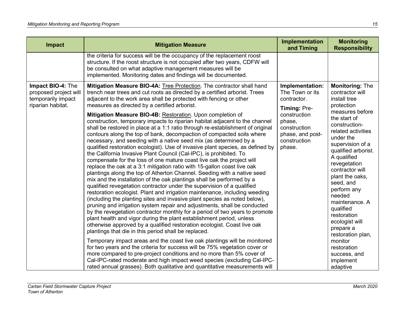| <b>Impact</b>                                                                         | <b>Mitigation Measure</b>                                                                                                                                                                                                                                                                                                                                                                                                                                                                                                                                                                                                                                                                                                                                                                                                                                                                                                                                                                                                                                                                                                                                                                                                                                                                                                                                                                                                                            | Implementation<br>and Timing                                                         | <b>Monitoring</b><br><b>Responsibility</b>                                                                                                                                                                                                                                                                                                  |
|---------------------------------------------------------------------------------------|------------------------------------------------------------------------------------------------------------------------------------------------------------------------------------------------------------------------------------------------------------------------------------------------------------------------------------------------------------------------------------------------------------------------------------------------------------------------------------------------------------------------------------------------------------------------------------------------------------------------------------------------------------------------------------------------------------------------------------------------------------------------------------------------------------------------------------------------------------------------------------------------------------------------------------------------------------------------------------------------------------------------------------------------------------------------------------------------------------------------------------------------------------------------------------------------------------------------------------------------------------------------------------------------------------------------------------------------------------------------------------------------------------------------------------------------------|--------------------------------------------------------------------------------------|---------------------------------------------------------------------------------------------------------------------------------------------------------------------------------------------------------------------------------------------------------------------------------------------------------------------------------------------|
|                                                                                       | the criteria for success will be the occupancy of the replacement roost<br>structure. If the roost structure is not occupied after two years, CDFW will<br>be consulted on what adaptive management measures will be<br>implemented. Monitoring dates and findings will be documented.                                                                                                                                                                                                                                                                                                                                                                                                                                                                                                                                                                                                                                                                                                                                                                                                                                                                                                                                                                                                                                                                                                                                                               |                                                                                      |                                                                                                                                                                                                                                                                                                                                             |
| Impact BIO-4: The<br>proposed project will<br>temporarily impact<br>riparian habitat. | Mitigation Measure BIO-4A: Tree Protection. The contractor shall hand<br>trench near trees and cut roots as directed by a certified arborist. Trees<br>adjacent to the work area shall be protected with fencing or other<br>measures as directed by a certified arborist.                                                                                                                                                                                                                                                                                                                                                                                                                                                                                                                                                                                                                                                                                                                                                                                                                                                                                                                                                                                                                                                                                                                                                                           | Implementation:<br>The Town or its<br>contractor.<br><b>Timing: Pre-</b>             | <b>Monitoring: The</b><br>contractor will<br>install tree<br>protection                                                                                                                                                                                                                                                                     |
|                                                                                       | Mitigation Measure BIO-4B: Restoration. Upon completion of<br>construction, temporary impacts to riparian habitat adjacent to the channel<br>shall be restored in place at a 1:1 ratio through re-establishment of original<br>contours along the top of bank, decompaction of compacted soils where<br>necessary, and seeding with a native seed mix (as determined by a<br>qualified restoration ecologist). Use of invasive plant species, as defined by<br>the California Invasive Plant Council (Cal-IPC), is prohibited. To<br>compensate for the loss of one mature coast live oak the project will<br>replace the oak at a 3:1 mitigation ratio with 15-gallon coast live oak<br>plantings along the top of Atherton Channel. Seeding with a native seed<br>mix and the installation of the oak plantings shall be performed by a<br>qualified revegetation contractor under the supervision of a qualified<br>restoration ecologist. Plant and irrigation maintenance, including weeding<br>(including the planting sites and invasive plant species as noted below),<br>pruning and irrigation system repair and adjustments, shall be conducted<br>by the revegetation contractor monthly for a period of two years to promote<br>plant health and vigor during the plant establishment period, unless<br>otherwise approved by a qualified restoration ecologist. Coast live oak<br>plantings that die in this period shall be replaced. | construction<br>phase,<br>construction<br>phase, and post-<br>construction<br>phase. | measures before<br>the start of<br>construction-<br>related activities<br>under the<br>supervision of a<br>qualified arborist.<br>A qualified<br>revegetation<br>contractor will<br>plant the oaks,<br>seed, and<br>perform any<br>needed<br>maintenance. A<br>qualified<br>restoration<br>ecologist will<br>prepare a<br>restoration plan, |
|                                                                                       | Temporary impact areas and the coast live oak plantings will be monitored<br>for two years and the criteria for success will be 75% vegetation cover or<br>more compared to pre-project conditions and no more than 5% cover of<br>Cal-IPC-rated moderate and high impact weed species (excluding Cal-IPC-<br>rated annual grasses). Both qualitative and quantitative measurements will                                                                                                                                                                                                                                                                                                                                                                                                                                                                                                                                                                                                                                                                                                                                                                                                                                                                                                                                                                                                                                                             |                                                                                      | monitor<br>restoration<br>success, and<br>implement<br>adaptive                                                                                                                                                                                                                                                                             |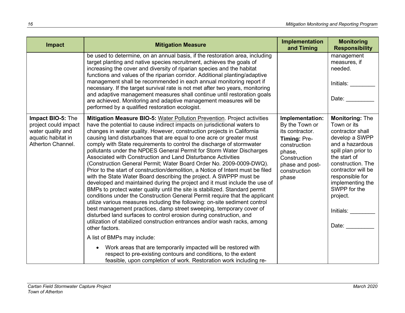| <b>Impact</b>                                                                                             | <b>Mitigation Measure</b>                                                                                                                                                                                                                                                                                                                                                                                                                                                                                                                                                                                                                                                                                                                                                                                                                                                                                                                                                                                                                                                                                                                                                                                                                                                                                                                                                                                                                                                                                                                                                     | Implementation<br>and Timing                                                                                                                               | <b>Monitoring</b><br><b>Responsibility</b>                                                                                                                                                                                                                                                                                                                                                                                                                                                         |
|-----------------------------------------------------------------------------------------------------------|-------------------------------------------------------------------------------------------------------------------------------------------------------------------------------------------------------------------------------------------------------------------------------------------------------------------------------------------------------------------------------------------------------------------------------------------------------------------------------------------------------------------------------------------------------------------------------------------------------------------------------------------------------------------------------------------------------------------------------------------------------------------------------------------------------------------------------------------------------------------------------------------------------------------------------------------------------------------------------------------------------------------------------------------------------------------------------------------------------------------------------------------------------------------------------------------------------------------------------------------------------------------------------------------------------------------------------------------------------------------------------------------------------------------------------------------------------------------------------------------------------------------------------------------------------------------------------|------------------------------------------------------------------------------------------------------------------------------------------------------------|----------------------------------------------------------------------------------------------------------------------------------------------------------------------------------------------------------------------------------------------------------------------------------------------------------------------------------------------------------------------------------------------------------------------------------------------------------------------------------------------------|
|                                                                                                           | be used to determine, on an annual basis, if the restoration area, including<br>target planting and native species recruitment, achieves the goals of<br>increasing the cover and diversity of riparian species and the habitat<br>functions and values of the riparian corridor. Additional planting/adaptive<br>management shall be recommended in each annual monitoring report if<br>necessary. If the target survival rate is not met after two years, monitoring<br>and adaptive management measures shall continue until restoration goals<br>are achieved. Monitoring and adaptive management measures will be<br>performed by a qualified restoration ecologist.                                                                                                                                                                                                                                                                                                                                                                                                                                                                                                                                                                                                                                                                                                                                                                                                                                                                                                     |                                                                                                                                                            | management<br>measures, if<br>needed.<br>Initials:<br>Date:                                                                                                                                                                                                                                                                                                                                                                                                                                        |
| Impact BIO-5: The<br>project could impact<br>water quality and<br>aquatic habitat in<br>Atherton Channel. | <b>Mitigation Measure BIO-5: Water Pollution Prevention. Project activities</b><br>have the potential to cause indirect impacts on jurisdictional waters to<br>changes in water quality. However, construction projects in California<br>causing land disturbances that are equal to one acre or greater must<br>comply with State requirements to control the discharge of stormwater<br>pollutants under the NPDES General Permit for Storm Water Discharges<br>Associated with Construction and Land Disturbance Activities<br>(Construction General Permit; Water Board Order No. 2009-0009-DWQ).<br>Prior to the start of construction/demolition, a Notice of Intent must be filed<br>with the State Water Board describing the project. A SWPPP must be<br>developed and maintained during the project and it must include the use of<br>BMPs to protect water quality until the site is stabilized. Standard permit<br>conditions under the Construction General Permit require that the applicant<br>utilize various measures including the following: on-site sediment control<br>best management practices, damp street sweeping, temporary cover of<br>disturbed land surfaces to control erosion during construction, and<br>utilization of stabilized construction entrances and/or wash racks, among<br>other factors.<br>A list of BMPs may include:<br>Work areas that are temporarily impacted will be restored with<br>respect to pre-existing contours and conditions, to the extent<br>feasible, upon completion of work. Restoration work including re- | Implementation:<br>By the Town or<br>its contractor.<br>Timing: Pre-<br>construction<br>phase,<br>Construction<br>phase and post-<br>construction<br>phase | <b>Monitoring: The</b><br>Town or its<br>contractor shall<br>develop a SWPP<br>and a hazardous<br>spill plan prior to<br>the start of<br>construction. The<br>contractor will be<br>responsible for<br>implementing the<br>SWPP for the<br>project.<br>Initials:<br>Date: and the part of the set of the set of the set of the set of the set of the set of the set of the set of the set of the set of the set of the set of the set of the set of the set of the set of the set of the set of th |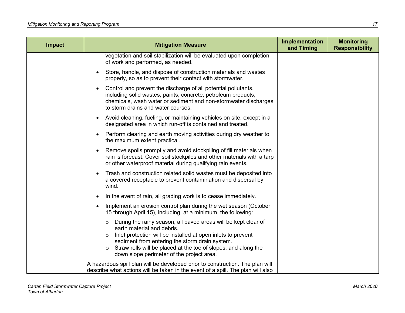| <b>Impact</b> | <b>Mitigation Measure</b>                                                                                                                                                                                                                                                                                                                                      | Implementation<br>and Timing | <b>Monitoring</b><br><b>Responsibility</b> |
|---------------|----------------------------------------------------------------------------------------------------------------------------------------------------------------------------------------------------------------------------------------------------------------------------------------------------------------------------------------------------------------|------------------------------|--------------------------------------------|
|               | vegetation and soil stabilization will be evaluated upon completion<br>of work and performed, as needed.                                                                                                                                                                                                                                                       |                              |                                            |
|               | Store, handle, and dispose of construction materials and wastes<br>$\bullet$<br>properly, so as to prevent their contact with stormwater.                                                                                                                                                                                                                      |                              |                                            |
|               | Control and prevent the discharge of all potential pollutants,<br>including solid wastes, paints, concrete, petroleum products,<br>chemicals, wash water or sediment and non-stormwater discharges<br>to storm drains and water courses.                                                                                                                       |                              |                                            |
|               | Avoid cleaning, fueling, or maintaining vehicles on site, except in a<br>designated area in which run-off is contained and treated.                                                                                                                                                                                                                            |                              |                                            |
|               | Perform clearing and earth moving activities during dry weather to<br>the maximum extent practical.                                                                                                                                                                                                                                                            |                              |                                            |
|               | Remove spoils promptly and avoid stockpiling of fill materials when<br>$\bullet$<br>rain is forecast. Cover soil stockpiles and other materials with a tarp<br>or other waterproof material during qualifying rain events.                                                                                                                                     |                              |                                            |
|               | Trash and construction related solid wastes must be deposited into<br>a covered receptacle to prevent contamination and dispersal by<br>wind.                                                                                                                                                                                                                  |                              |                                            |
|               | In the event of rain, all grading work is to cease immediately.                                                                                                                                                                                                                                                                                                |                              |                                            |
|               | Implement an erosion control plan during the wet season (October<br>15 through April 15), including, at a minimum, the following:                                                                                                                                                                                                                              |                              |                                            |
|               | During the rainy season, all paved areas will be kept clear of<br>$\circ$<br>earth material and debris.<br>Inlet protection will be installed at open inlets to prevent<br>$\circ$<br>sediment from entering the storm drain system.<br>Straw rolls will be placed at the toe of slopes, and along the<br>$\circ$<br>down slope perimeter of the project area. |                              |                                            |
|               | A hazardous spill plan will be developed prior to construction. The plan will<br>describe what actions will be taken in the event of a spill. The plan will also                                                                                                                                                                                               |                              |                                            |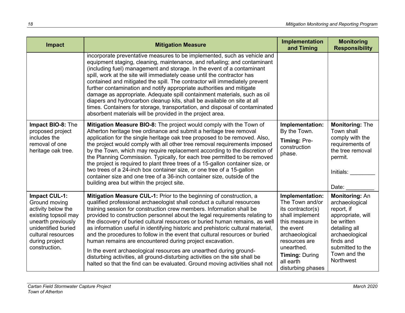| <b>Impact</b>                                                                                                                                                                      | <b>Mitigation Measure</b>                                                                                                                                                                                                                                                                                                                                                                                                                                                                                                                                                                                                                                                                                                                                                                                                                                 | Implementation<br>and Timing                                                                                                                                                                                           | <b>Monitoring</b><br><b>Responsibility</b>                                                                                                                                                |
|------------------------------------------------------------------------------------------------------------------------------------------------------------------------------------|-----------------------------------------------------------------------------------------------------------------------------------------------------------------------------------------------------------------------------------------------------------------------------------------------------------------------------------------------------------------------------------------------------------------------------------------------------------------------------------------------------------------------------------------------------------------------------------------------------------------------------------------------------------------------------------------------------------------------------------------------------------------------------------------------------------------------------------------------------------|------------------------------------------------------------------------------------------------------------------------------------------------------------------------------------------------------------------------|-------------------------------------------------------------------------------------------------------------------------------------------------------------------------------------------|
|                                                                                                                                                                                    | incorporate preventative measures to be implemented, such as vehicle and<br>equipment staging, cleaning, maintenance, and refueling; and contaminant<br>(including fuel) management and storage. In the event of a contaminant<br>spill, work at the site will immediately cease until the contractor has<br>contained and mitigated the spill. The contractor will immediately prevent<br>further contamination and notify appropriate authorities and mitigate<br>damage as appropriate. Adequate spill containment materials, such as oil<br>diapers and hydrocarbon cleanup kits, shall be available on site at all<br>times. Containers for storage, transportation, and disposal of contaminated<br>absorbent materials will be provided in the project area.                                                                                       |                                                                                                                                                                                                                        |                                                                                                                                                                                           |
| Impact BIO-8: The<br>proposed project<br>includes the<br>removal of one<br>heritage oak tree.                                                                                      | Mitigation Measure BIO-8: The project would comply with the Town of<br>Atherton heritage tree ordinance and submit a heritage tree removal<br>application for the single heritage oak tree proposed to be removed. Also,<br>the project would comply with all other tree removal requirements imposed<br>by the Town, which may require replacement according to the discretion of<br>the Planning Commission. Typically, for each tree permitted to be removed<br>the project is required to plant three trees of a 15-gallon container size, or<br>two trees of a 24-inch box container size, or one tree of a 15-gallon<br>container size and one tree of a 36-inch container size, outside of the<br>building area but within the project site.                                                                                                       | Implementation:<br>By the Town.<br>Timing: Pre-<br>construction<br>phase.                                                                                                                                              | <b>Monitoring: The</b><br>Town shall<br>comply with the<br>requirements of<br>the tree removal<br>permit.<br>Initials:<br>Date:                                                           |
| Impact CUL-1:<br>Ground moving<br>activity below the<br>existing topsoil may<br>unearth previously<br>unidentified buried<br>cultural resources<br>during project<br>construction. | Mitigation Measure CUL-1: Prior to the beginning of construction, a<br>qualified professional archaeologist shall conduct a cultural resources<br>training session for construction crew members. Information shall be<br>provided to construction personnel about the legal requirements relating to<br>the discovery of buried cultural resources or buried human remains, as well<br>as information useful in identifying historic and prehistoric cultural material,<br>and the procedures to follow in the event that cultural resources or buried<br>human remains are encountered during project excavation.<br>In the event archaeological resources are unearthed during ground-<br>disturbing activities, all ground-disturbing activities on the site shall be<br>halted so that the find can be evaluated. Ground moving activities shall not | Implementation:<br>The Town and/or<br>its contractor(s)<br>shall implement<br>this measure in<br>the event<br>archaeological<br>resources are<br>unearthed.<br><b>Timing: During</b><br>all earth<br>disturbing phases | <b>Monitoring: An</b><br>archaeological<br>report, if<br>appropriate, will<br>be written<br>detailing all<br>archaeological<br>finds and<br>submitted to the<br>Town and the<br>Northwest |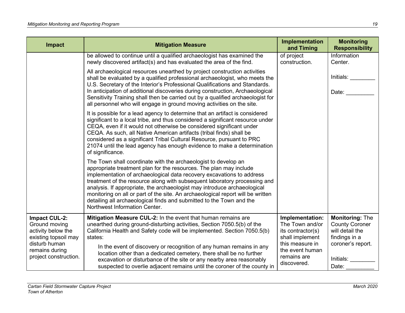| <b>Impact</b>                                                                                                                                   | <b>Mitigation Measure</b>                                                                                                                                                                                                                                                                                                                                                                                                                                                                                                                                          | <b>Implementation</b><br>and Timing                                                                                                            | <b>Monitoring</b><br><b>Responsibility</b>                                                                                     |
|-------------------------------------------------------------------------------------------------------------------------------------------------|--------------------------------------------------------------------------------------------------------------------------------------------------------------------------------------------------------------------------------------------------------------------------------------------------------------------------------------------------------------------------------------------------------------------------------------------------------------------------------------------------------------------------------------------------------------------|------------------------------------------------------------------------------------------------------------------------------------------------|--------------------------------------------------------------------------------------------------------------------------------|
|                                                                                                                                                 | be allowed to continue until a qualified archaeologist has examined the<br>newly discovered artifact(s) and has evaluated the area of the find.                                                                                                                                                                                                                                                                                                                                                                                                                    | of project<br>construction.                                                                                                                    | Information<br>Center.                                                                                                         |
|                                                                                                                                                 | All archaeological resources unearthed by project construction activities<br>shall be evaluated by a qualified professional archaeologist, who meets the<br>U.S. Secretary of the Interior's Professional Qualifications and Standards.<br>In anticipation of additional discoveries during construction, Archaeological<br>Sensitivity Training shall then be carried out by a qualified archaeologist for<br>all personnel who will engage in ground moving activities on the site.                                                                              |                                                                                                                                                | Initials:<br>Date:                                                                                                             |
|                                                                                                                                                 | It is possible for a lead agency to determine that an artifact is considered<br>significant to a local tribe, and thus considered a significant resource under<br>CEQA, even if it would not otherwise be considered significant under<br>CEQA. As such, all Native American artifacts (tribal finds) shall be<br>considered as a significant Tribal Cultural Resource, pursuant to PRC<br>21074 until the lead agency has enough evidence to make a determination<br>of significance.                                                                             |                                                                                                                                                |                                                                                                                                |
|                                                                                                                                                 | The Town shall coordinate with the archaeologist to develop an<br>appropriate treatment plan for the resources. The plan may include<br>implementation of archaeological data recovery excavations to address<br>treatment of the resource along with subsequent laboratory processing and<br>analysis. If appropriate, the archaeologist may introduce archaeological<br>monitoring on all or part of the site. An archaeological report will be written<br>detailing all archaeological finds and submitted to the Town and the<br>Northwest Information Center. |                                                                                                                                                |                                                                                                                                |
| <b>Impact CUL-2:</b><br>Ground moving<br>activity below the<br>existing topsoil may<br>disturb human<br>remains during<br>project construction. | <b>Mitigation Measure CUL-2:</b> In the event that human remains are<br>unearthed during ground-disturbing activities, Section 7050.5(b) of the<br>California Health and Safety code will be implemented. Section 7050.5(b)<br>states:<br>In the event of discovery or recognition of any human remains in any<br>location other than a dedicated cemetery, there shall be no further<br>excavation or disturbance of the site or any nearby area reasonably<br>suspected to overlie adjacent remains until the coroner of the county in                           | Implementation:<br>The Town and/or<br>its contractor(s)<br>shall implement<br>this measure in<br>the event human<br>remains are<br>discovered. | <b>Monitoring: The</b><br><b>County Coroner</b><br>will detail the<br>findings in a<br>coroner's report.<br>Initials:<br>Date: |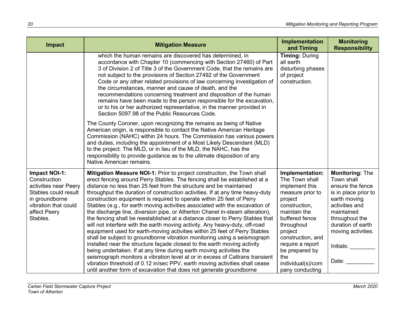| <b>Impact</b>                                                                                                                                        | <b>Mitigation Measure</b>                                                                                                                                                                                                                                                                                                                                                                                                                                                                                                                                                                                                                                                                                                                                                                                                                                                                                                                                                                                                                                                                                                                                                                                                                                               | Implementation<br>and Timing                                                                                                                                                                                                                                             | <b>Monitoring</b><br><b>Responsibility</b>                                                                                                                                                                          |
|------------------------------------------------------------------------------------------------------------------------------------------------------|-------------------------------------------------------------------------------------------------------------------------------------------------------------------------------------------------------------------------------------------------------------------------------------------------------------------------------------------------------------------------------------------------------------------------------------------------------------------------------------------------------------------------------------------------------------------------------------------------------------------------------------------------------------------------------------------------------------------------------------------------------------------------------------------------------------------------------------------------------------------------------------------------------------------------------------------------------------------------------------------------------------------------------------------------------------------------------------------------------------------------------------------------------------------------------------------------------------------------------------------------------------------------|--------------------------------------------------------------------------------------------------------------------------------------------------------------------------------------------------------------------------------------------------------------------------|---------------------------------------------------------------------------------------------------------------------------------------------------------------------------------------------------------------------|
|                                                                                                                                                      | which the human remains are discovered has determined, in<br>accordance with Chapter 10 (commencing with Section 27460) of Part<br>3 of Division 2 of Title 3 of the Government Code, that the remains are<br>not subject to the provisions of Section 27492 of the Government<br>Code or any other related provisions of law concerning investigation of<br>the circumstances, manner and cause of death, and the<br>recommendations concerning treatment and disposition of the human<br>remains have been made to the person responsible for the excavation,<br>or to his or her authorized representative, in the manner provided in<br>Section 5097.98 of the Public Resources Code.                                                                                                                                                                                                                                                                                                                                                                                                                                                                                                                                                                               | <b>Timing: During</b><br>all earth<br>disturbing phases<br>of project<br>construction.                                                                                                                                                                                   |                                                                                                                                                                                                                     |
|                                                                                                                                                      | The County Coroner, upon recognizing the remains as being of Native<br>American origin, is responsible to contact the Native American Heritage<br>Commission (NAHC) within 24 hours. The Commission has various powers<br>and duties, including the appointment of a Most Likely Descendant (MLD)<br>to the project. The MLD, or in lieu of the MLD, the NAHC, has the<br>responsibility to provide guidance as to the ultimate disposition of any<br>Native American remains.                                                                                                                                                                                                                                                                                                                                                                                                                                                                                                                                                                                                                                                                                                                                                                                          |                                                                                                                                                                                                                                                                          |                                                                                                                                                                                                                     |
| Impact NOI-1:<br>Construction<br>activities near Peery<br>Stables could result<br>in groundborne<br>vibration that could<br>affect Peery<br>Stables. | Mitigation Measure NOI-1: Prior to project construction, the Town shall<br>erect fencing around Perry Stables. The fencing shall be established at a<br>distance no less than 25 feet from the structure and be maintained<br>throughput the duration of construction activities. If at any time heavy-duty<br>construction equipment is required to operate within 25 feet of Perry<br>Stables (e.g., for earth moving activities associated with the excavation of<br>the discharge line, diversion pipe, or Atherton Chanel in-steam alteration),<br>the fencing shall be reestablished at a distance closer to Perry Stables that<br>will not interfere with the earth moving activity. Any heavy-duty, off-road<br>equipment used for earth-moving activities within 25 feet of Perry Stables<br>shall be subject to groundborne vibration monitoring using a seismograph<br>installed near the structure façade closest to the earth moving activity<br>being undertaken. If at any time during earth moving activities the<br>seismograph monitors a vibration level at or in excess of Caltrans transient<br>vibration threshold of 0.12 in/sec PPV, earth moving activities shall cease<br>until another form of excavation that does not generate groundborne | Implementation:<br>The Town shall<br>implement this<br>measure prior to<br>project<br>construction,<br>maintain the<br>buffered fence<br>throughout<br>project<br>construction, and<br>require a report<br>be prepared by<br>the<br>individual(s)/com<br>pany conducting | <b>Monitoring: The</b><br>Town shall<br>ensure the fence<br>is in place prior to<br>earth moving<br>activities and<br>maintained<br>throughout the<br>duration of earth<br>moving activities.<br>Initials:<br>Date: |